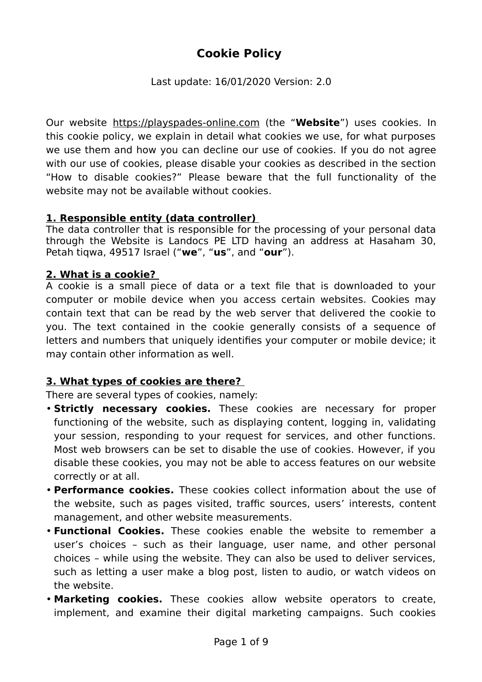# **Cookie Policy**

Last update: 16/01/2020 Version: 2.0

Our website [https://playspades-online.com](https://playspades-online.com/) (the "**Website**") uses cookies. In this cookie policy, we explain in detail what cookies we use, for what purposes we use them and how you can decline our use of cookies. If you do not agree with our use of cookies, please disable your cookies as described in the section "How to disable cookies?" Please beware that the full functionality of the website may not be available without cookies.

### **1. Responsible entity (data controller)**

The data controller that is responsible for the processing of your personal data through the Website is Landocs PE LTD having an address at Hasaham 30, Petah tiqwa, 49517 Israel ("**we**", "**us**", and "**our**").

#### **2. What is a cookie?**

A cookie is a small piece of data or a text file that is downloaded to your computer or mobile device when you access certain websites. Cookies may contain text that can be read by the web server that delivered the cookie to you. The text contained in the cookie generally consists of a sequence of letters and numbers that uniquely identifies your computer or mobile device; it may contain other information as well.

### **3. What types of cookies are there?**

There are several types of cookies, namely:

- **Strictly necessary cookies.** These cookies are necessary for proper functioning of the website, such as displaying content, logging in, validating your session, responding to your request for services, and other functions. Most web browsers can be set to disable the use of cookies. However, if you disable these cookies, you may not be able to access features on our website correctly or at all.
- **Performance cookies.** These cookies collect information about the use of the website, such as pages visited, traffic sources, users' interests, content management, and other website measurements.
- **Functional Cookies.** These cookies enable the website to remember a user's choices – such as their language, user name, and other personal choices – while using the website. They can also be used to deliver services, such as letting a user make a blog post, listen to audio, or watch videos on the website.
- **Marketing cookies.** These cookies allow website operators to create, implement, and examine their digital marketing campaigns. Such cookies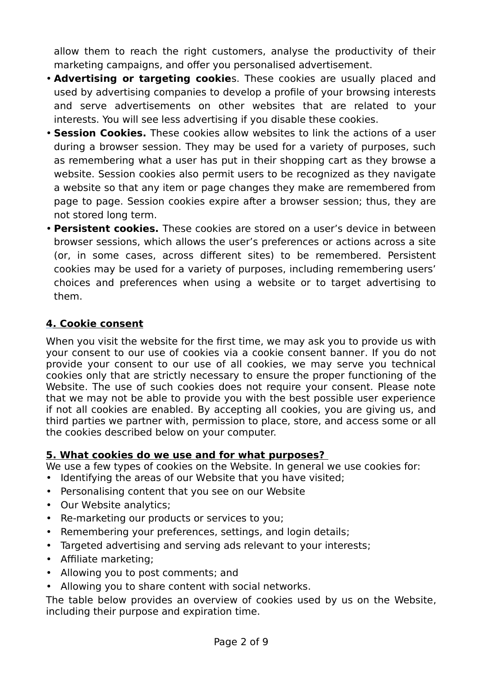allow them to reach the right customers, analyse the productivity of their marketing campaigns, and offer you personalised advertisement.

- **Advertising or targeting cookie**s. These cookies are usually placed and used by advertising companies to develop a profile of your browsing interests and serve advertisements on other websites that are related to your interests. You will see less advertising if you disable these cookies.
- **Session Cookies.** These cookies allow websites to link the actions of a user during a browser session. They may be used for a variety of purposes, such as remembering what a user has put in their shopping cart as they browse a website. Session cookies also permit users to be recognized as they navigate a website so that any item or page changes they make are remembered from page to page. Session cookies expire after a browser session; thus, they are not stored long term.
- **Persistent cookies.** These cookies are stored on a user's device in between browser sessions, which allows the user's preferences or actions across a site (or, in some cases, across different sites) to be remembered. Persistent cookies may be used for a variety of purposes, including remembering users' choices and preferences when using a website or to target advertising to them.

### **4 . Cookie consent**

When you visit the website for the first time, we may ask you to provide us with your consent to our use of cookies via a cookie consent banner. If you do not provide your consent to our use of all cookies, we may serve you technical cookies only that are strictly necessary to ensure the proper functioning of the Website. The use of such cookies does not require your consent. Please note that we may not be able to provide you with the best possible user experience if not all cookies are enabled. By accepting all cookies, you are giving us, and third parties we partner with, permission to place, store, and access some or all the cookies described below on your computer.

#### **5. What cookies do we use and for what purposes?**

We use a few types of cookies on the Website. In general we use cookies for: • Identifying the areas of our Website that you have visited;

- Personalising content that you see on our Website
- Our Website analytics;
- Re-marketing our products or services to you;
- Remembering your preferences, settings, and login details;
- Targeted advertising and serving ads relevant to your interests;
- Affiliate marketing;
- Allowing you to post comments; and
- Allowing you to share content with social networks.

The table below provides an overview of cookies used by us on the Website, including their purpose and expiration time.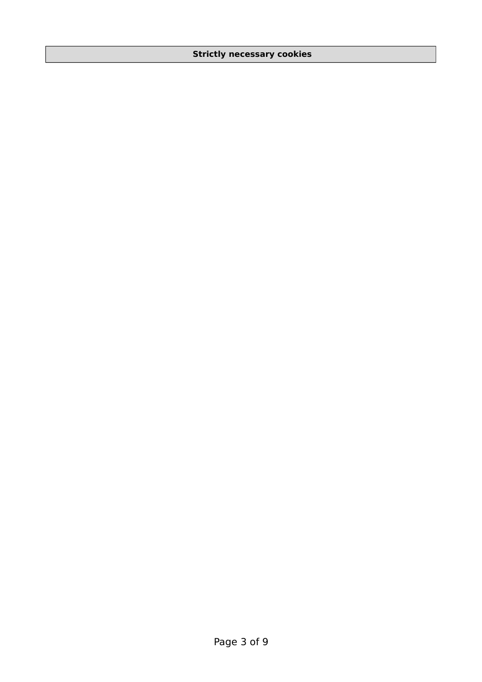#### **Strictly necessary cookies**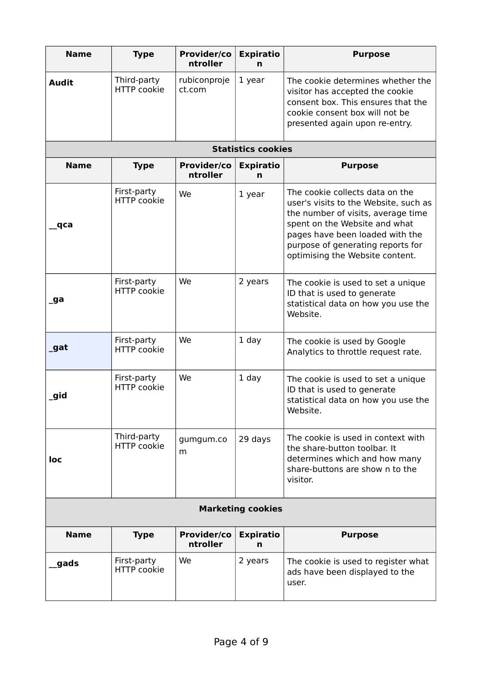| <b>Name</b>               | <b>Type</b>                       | Provider/co<br>ntroller | <b>Expiratio</b><br>n | <b>Purpose</b>                                                                                                                                                                                                                                             |  |  |  |  |
|---------------------------|-----------------------------------|-------------------------|-----------------------|------------------------------------------------------------------------------------------------------------------------------------------------------------------------------------------------------------------------------------------------------------|--|--|--|--|
| <b>Audit</b>              | Third-party<br><b>HTTP</b> cookie | rubiconproje<br>ct.com  | 1 year                | The cookie determines whether the<br>visitor has accepted the cookie<br>consent box. This ensures that the<br>cookie consent box will not be<br>presented again upon re-entry.                                                                             |  |  |  |  |
| <b>Statistics cookies</b> |                                   |                         |                       |                                                                                                                                                                                                                                                            |  |  |  |  |
| <b>Name</b>               | <b>Type</b>                       | Provider/co<br>ntroller | <b>Expiratio</b><br>n | <b>Purpose</b>                                                                                                                                                                                                                                             |  |  |  |  |
| qca                       | First-party<br><b>HTTP</b> cookie | We                      | 1 year                | The cookie collects data on the<br>user's visits to the Website, such as<br>the number of visits, average time<br>spent on the Website and what<br>pages have been loaded with the<br>purpose of generating reports for<br>optimising the Website content. |  |  |  |  |
| _ga                       | First-party<br><b>HTTP</b> cookie | We                      | 2 years               | The cookie is used to set a unique<br>ID that is used to generate<br>statistical data on how you use the<br>Website.                                                                                                                                       |  |  |  |  |
| _gat                      | First-party<br><b>HTTP</b> cookie | We                      | 1 day                 | The cookie is used by Google<br>Analytics to throttle request rate.                                                                                                                                                                                        |  |  |  |  |
| _gid                      | First-party<br><b>HTTP</b> cookie | We                      | 1 day                 | The cookie is used to set a unique<br>ID that is used to generate<br>statistical data on how you use the<br>Website.                                                                                                                                       |  |  |  |  |
| loc                       | Third-party<br><b>HTTP</b> cookie | gumgum.co<br>m          | 29 days               | The cookie is used in context with<br>the share-button toolbar. It<br>determines which and how many<br>share-buttons are show n to the<br>visitor.                                                                                                         |  |  |  |  |
| <b>Marketing cookies</b>  |                                   |                         |                       |                                                                                                                                                                                                                                                            |  |  |  |  |
| <b>Name</b>               | <b>Type</b>                       | Provider/co<br>ntroller | <b>Expiratio</b><br>n | <b>Purpose</b>                                                                                                                                                                                                                                             |  |  |  |  |
| gads                      | First-party<br><b>HTTP</b> cookie | We                      | 2 years               | The cookie is used to register what<br>ads have been displayed to the<br>user.                                                                                                                                                                             |  |  |  |  |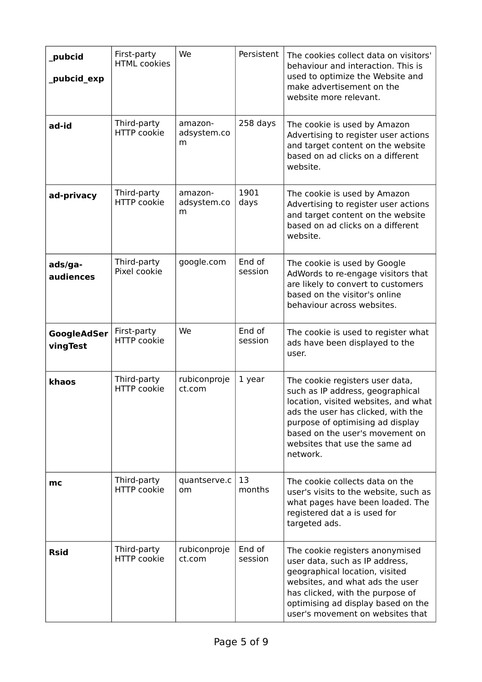| pubcid<br>_pubcid_exp   | First-party<br><b>HTML</b> cookies | We                          | Persistent        | The cookies collect data on visitors'<br>behaviour and interaction. This is<br>used to optimize the Website and<br>make advertisement on the<br>website more relevant.                                                                                                |
|-------------------------|------------------------------------|-----------------------------|-------------------|-----------------------------------------------------------------------------------------------------------------------------------------------------------------------------------------------------------------------------------------------------------------------|
| ad-id                   | Third-party<br><b>HTTP</b> cookie  | amazon-<br>adsystem.co<br>m | 258 days          | The cookie is used by Amazon<br>Advertising to register user actions<br>and target content on the website<br>based on ad clicks on a different<br>website.                                                                                                            |
| ad-privacy              | Third-party<br><b>HTTP</b> cookie  | amazon-<br>adsystem.co<br>m | 1901<br>days      | The cookie is used by Amazon<br>Advertising to register user actions<br>and target content on the website<br>based on ad clicks on a different<br>website.                                                                                                            |
| ads/ga-<br>audiences    | Third-party<br>Pixel cookie        | google.com                  | End of<br>session | The cookie is used by Google<br>AdWords to re-engage visitors that<br>are likely to convert to customers<br>based on the visitor's online<br>behaviour across websites.                                                                                               |
| GoogleAdSer<br>vingTest | First-party<br><b>HTTP</b> cookie  | We                          | End of<br>session | The cookie is used to register what<br>ads have been displayed to the<br>user.                                                                                                                                                                                        |
| khaos                   | Third-party<br><b>HTTP</b> cookie  | rubiconproje<br>ct.com      | 1 year            | The cookie registers user data,<br>such as IP address, geographical<br>location, visited websites, and what<br>ads the user has clicked, with the<br>purpose of optimising ad display<br>based on the user's movement on<br>websites that use the same ad<br>network. |
| mc                      | Third-party<br>HTTP cookie         | quantserve.c<br>om          | 13<br>months      | The cookie collects data on the<br>user's visits to the website, such as<br>what pages have been loaded. The<br>registered dat a is used for<br>targeted ads.                                                                                                         |
| <b>Rsid</b>             | Third-party<br><b>HTTP</b> cookie  | rubiconproje<br>ct.com      | End of<br>session | The cookie registers anonymised<br>user data, such as IP address,<br>geographical location, visited<br>websites, and what ads the user<br>has clicked, with the purpose of<br>optimising ad display based on the<br>user's movement on websites that                  |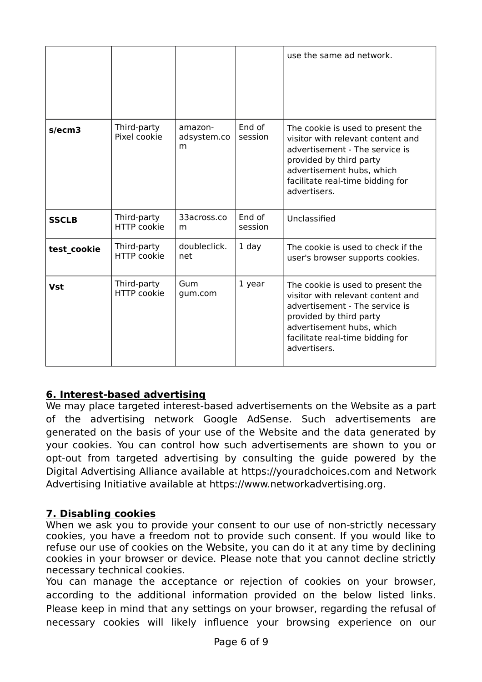|              |                                   |                             |                   | use the same ad network.                                                                                                                                                                                             |
|--------------|-----------------------------------|-----------------------------|-------------------|----------------------------------------------------------------------------------------------------------------------------------------------------------------------------------------------------------------------|
| s/ecm3       | Third-party<br>Pixel cookie       | amazon-<br>adsystem.co<br>m | End of<br>session | The cookie is used to present the<br>visitor with relevant content and<br>advertisement - The service is<br>provided by third party<br>advertisement hubs, which<br>facilitate real-time bidding for<br>advertisers. |
| <b>SSCLB</b> | Third-party<br><b>HTTP</b> cookie | 33across.co<br>m            | End of<br>session | Unclassified                                                                                                                                                                                                         |
| test cookie  | Third-party<br><b>HTTP</b> cookie | doubleclick.<br>net         | $1$ day           | The cookie is used to check if the<br>user's browser supports cookies.                                                                                                                                               |
| <b>Vst</b>   | Third-party<br><b>HTTP</b> cookie | Gum<br>gum.com              | 1 year            | The cookie is used to present the<br>visitor with relevant content and<br>advertisement - The service is<br>provided by third party<br>advertisement hubs, which<br>facilitate real-time bidding for<br>advertisers. |

### **6. Interest-based advertising**

We may place targeted interest-based advertisements on the Website as a part of the advertising network Google AdSense. Such advertisements are generated on the basis of your use of the Website and the data generated by your cookies. You can control how such advertisements are shown to you or opt-out from targeted advertising by consulting the guide powered by the Digital Advertising Alliance available at [https://youradchoices.com](https://youradchoices.com/) and Network Advertising Initiative available at [https://www.networkadvertising.org.](https://www.networkadvertising.org/)

### **7. Disabling cookies**

When we ask you to provide your consent to our use of non-strictly necessary cookies, you have a freedom not to provide such consent. If you would like to refuse our use of cookies on the Website, you can do it at any time by declining cookies in your browser or device. Please note that you cannot decline strictly necessary technical cookies.

You can manage the acceptance or rejection of cookies on your browser, according to the additional information provided on the below listed links. Please keep in mind that any settings on your browser, regarding the refusal of necessary cookies will likely influence your browsing experience on our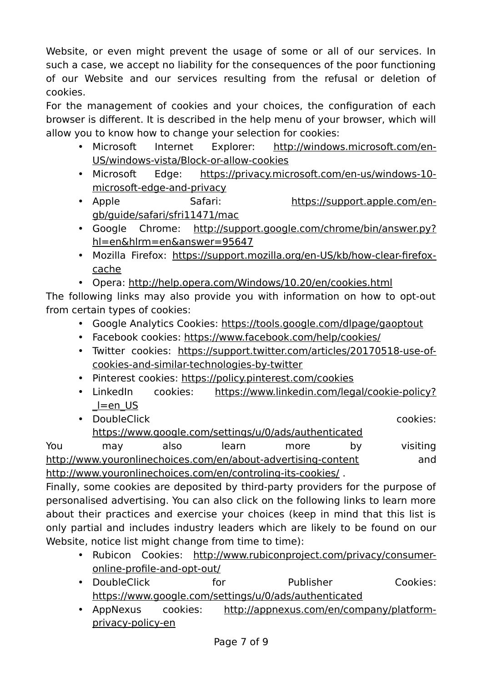Website, or even might prevent the usage of some or all of our services. In such a case, we accept no liability for the consequences of the poor functioning of our Website and our services resulting from the refusal or deletion of cookies.

For the management of cookies and your choices, the configuration of each browser is different. It is described in the help menu of your browser, which will allow you to know how to change your selection for cookies:

- Microsoft Internet Explorer: [http://windows.microsoft.com/en-](http://windows.microsoft.com/en-US/windows-vista/Block-or-allow-cookies)[US/windows-vista/Block-or-allow-cookies](http://windows.microsoft.com/en-US/windows-vista/Block-or-allow-cookies)
- Microsoft Edge: [https://privacy.microsoft.com/en-us/windows-10](https://privacy.microsoft.com/en-us/windows-10-microsoft-edge-and-privacy) [microsoft-edge-and-privacy](https://privacy.microsoft.com/en-us/windows-10-microsoft-edge-and-privacy)
- Apple Safari: [https://support.apple.com/en](https://support.apple.com/en-gb/guide/safari/sfri11471/mac)[gb/guide/safari/sfri11471/mac](https://support.apple.com/en-gb/guide/safari/sfri11471/mac)
- Google Chrome: [http://support.google.com/chrome/bin/answer.py?](http://support.google.com/chrome/bin/answer.py?hl=en&hlrm=en&answer=95647) [hl=en&hlrm=en&answer=95647](http://support.google.com/chrome/bin/answer.py?hl=en&hlrm=en&answer=95647)
- Mozilla Firefox: [https://support.mozilla.org/en-US/kb/how-clear-firefox](https://support.mozilla.org/en-US/kb/how-clear-firefox-cache)[cache](https://support.mozilla.org/en-US/kb/how-clear-firefox-cache)
- Opera:<http://help.opera.com/Windows/10.20/en/cookies.html>

The following links may also provide you with information on how to opt-out from certain types of cookies:

- Google Analytics Cookies:<https://tools.google.com/dlpage/gaoptout>
- Facebook cookies:<https://www.facebook.com/help/cookies/>
- Twitter cookies: [https://support.twitter.com/articles/20170518-use-of](https://support.twitter.com/articles/20170518-use-of-cookies-and-similar-technologies-by-twitter)[cookies-and-similar-technologies-by-twitter](https://support.twitter.com/articles/20170518-use-of-cookies-and-similar-technologies-by-twitter)
- Pinterest cookies:<https://policy.pinterest.com/cookies>
- LinkedIn cookies: [https://www.linkedin.com/legal/cookie-policy?](https://www.linkedin.com/legal/cookie-policy?_l=en_US) [\\_l=en\\_US](https://www.linkedin.com/legal/cookie-policy?_l=en_US)
- DoubleClick cookies: <https://www.google.com/settings/u/0/ads/authenticated>

You may also learn more by visiting <http://www.youronlinechoices.com/en/about-advertising-content>and <http://www.youronlinechoices.com/en/controling-its-cookies/>.

Finally, some cookies are deposited by third-party providers for the purpose of personalised advertising. You can also click on the following links to learn more about their practices and exercise your choices (keep in mind that this list is only partial and includes industry leaders which are likely to be found on our Website, notice list might change from time to time):

- Rubicon Cookies: [http://www.rubiconproject.com/privacy/consumer](http://www.rubiconproject.com/privacy/consumer-online-profile-and-opt-out/)[online-profile-and-opt-out/](http://www.rubiconproject.com/privacy/consumer-online-profile-and-opt-out/)
- DoubleClick for Publisher Cookies: <https://www.google.com/settings/u/0/ads/authenticated>
- AppNexus cookies: [http://appnexus.com/en/company/platform](http://appnexus.com/en/company/platform-privacy-policy-en)[privacy-policy-en](http://appnexus.com/en/company/platform-privacy-policy-en)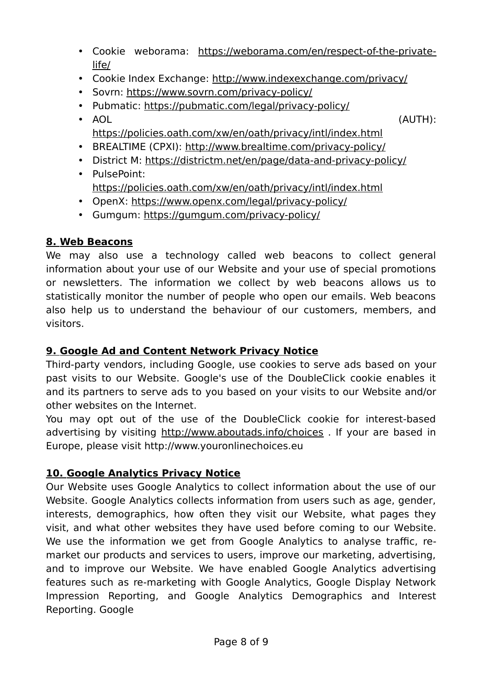- Cookie weborama: [https://weborama.com/en/respect-of-the-private](https://weborama.com/en/respect-of-the-private-life/)[life/](https://weborama.com/en/respect-of-the-private-life/)
- Cookie Index Exchange:<http://www.indexexchange.com/privacy/>
- Sovrn:<https://www.sovrn.com/privacy-policy/>
- Pubmatic:<https://pubmatic.com/legal/privacy-policy/>
- AOL (AUTH): <https://policies.oath.com/xw/en/oath/privacy/intl/index.html>
- BREALTIME (CPXI):<http://www.brealtime.com/privacy-policy/>
- District M:<https://districtm.net/en/page/data-and-privacy-policy/>
- PulsePoint: <https://policies.oath.com/xw/en/oath/privacy/intl/index.html>
- OpenX:<https://www.openx.com/legal/privacy-policy/>
- Gumgum:<https://gumgum.com/privacy-policy/>

### **8.Web Beacons**

We may also use a technology called web beacons to collect general information about your use of our Website and your use of special promotions or newsletters. The information we collect by web beacons allows us to statistically monitor the number of people who open our emails. Web beacons also help us to understand the behaviour of our customers, members, and visitors.

### **9.Google Ad and Content Network Privacy Notice**

Third-party vendors, including Google, use cookies to serve ads based on your past visits to our Website. Google's use of the DoubleClick cookie enables it and its partners to serve ads to you based on your visits to our Website and/or other websites on the Internet.

You may opt out of the use of the DoubleClick cookie for interest-based advertising by visiting<http://www.aboutads.info/choices>. If your are based in Europe, please visit http://www.youronlinechoices.eu

### **10.Google Analytics Privacy Notice**

Our Website uses Google Analytics to collect information about the use of our Website. Google Analytics collects information from users such as age, gender, interests, demographics, how often they visit our Website, what pages they visit, and what other websites they have used before coming to our Website. We use the information we get from Google Analytics to analyse traffic, remarket our products and services to users, improve our marketing, advertising, and to improve our Website. We have enabled Google Analytics advertising features such as re-marketing with Google Analytics, Google Display Network Impression Reporting, and Google Analytics Demographics and Interest Reporting. Google